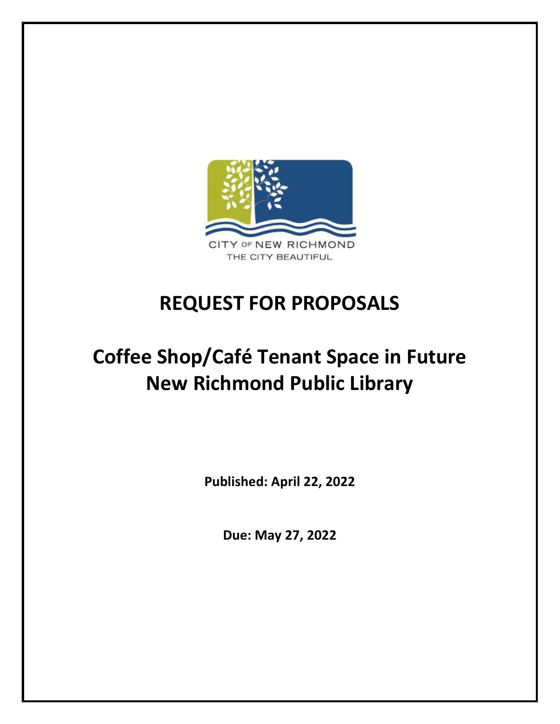

# **REQUEST FOR PROPOSALS**

# **Coffee Shop/Café Tenant Space in Future New Richmond Public Library**

**Published: April 22, 2022**

**Due: May 27, 2022**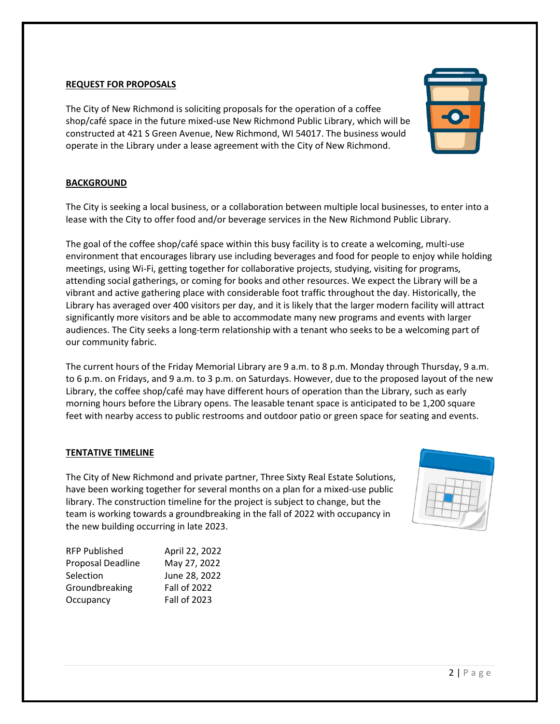### **REQUEST FOR PROPOSALS**

The City of New Richmond is soliciting proposals for the operation of a coffee shop/café space in the future mixed-use New Richmond Public Library, which will be constructed at 421 S Green Avenue, New Richmond, WI 54017. The business would operate in the Library under a lease agreement with the City of New Richmond.

#### **BACKGROUND**

The City is seeking a local business, or a collaboration between multiple local businesses, to enter into a lease with the City to offer food and/or beverage services in the New Richmond Public Library.

The goal of the coffee shop/café space within this busy facility is to create a welcoming, multi-use environment that encourages library use including beverages and food for people to enjoy while holding meetings, using Wi-Fi, getting together for collaborative projects, studying, visiting for programs, attending social gatherings, or coming for books and other resources. We expect the Library will be a vibrant and active gathering place with considerable foot traffic throughout the day. Historically, the Library has averaged over 400 visitors per day, and it is likely that the larger modern facility will attract significantly more visitors and be able to accommodate many new programs and events with larger audiences. The City seeks a long-term relationship with a tenant who seeks to be a welcoming part of our community fabric.

The current hours of the Friday Memorial Library are 9 a.m. to 8 p.m. Monday through Thursday, 9 a.m. to 6 p.m. on Fridays, and 9 a.m. to 3 p.m. on Saturdays. However, due to the proposed layout of the new Library, the coffee shop/café may have different hours of operation than the Library, such as early morning hours before the Library opens. The leasable tenant space is anticipated to be 1,200 square feet with nearby access to public restrooms and outdoor patio or green space for seating and events.

#### **TENTATIVE TIMELINE**

The City of New Richmond and private partner, Three Sixty Real Estate Solutions, have been working together for several months on a plan for a mixed-use public library. The construction timeline for the project is subject to change, but the team is working towards a groundbreaking in the fall of 2022 with occupancy in the new building occurring in late 2023.

| <b>RFP Published</b> | April 22, 2022      |
|----------------------|---------------------|
| Proposal Deadline    | May 27, 2022        |
| Selection            | June 28, 2022       |
| Groundbreaking       | <b>Fall of 2022</b> |
| Occupancy            | <b>Fall of 2023</b> |



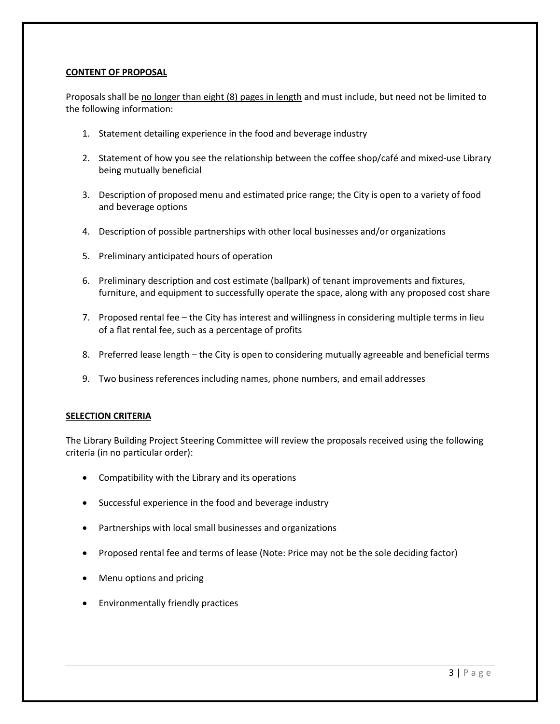# **CONTENT OF PROPOSAL**

Proposals shall be no longer than eight (8) pages in length and must include, but need not be limited to the following information:

- 1. Statement detailing experience in the food and beverage industry
- 2. Statement of how you see the relationship between the coffee shop/café and mixed-use Library being mutually beneficial
- 3. Description of proposed menu and estimated price range; the City is open to a variety of food and beverage options
- 4. Description of possible partnerships with other local businesses and/or organizations
- 5. Preliminary anticipated hours of operation
- 6. Preliminary description and cost estimate (ballpark) of tenant improvements and fixtures, furniture, and equipment to successfully operate the space, along with any proposed cost share
- 7. Proposed rental fee the City has interest and willingness in considering multiple terms in lieu of a flat rental fee, such as a percentage of profits
- 8. Preferred lease length the City is open to considering mutually agreeable and beneficial terms
- 9. Two business references including names, phone numbers, and email addresses

# **SELECTION CRITERIA**

The Library Building Project Steering Committee will review the proposals received using the following criteria (in no particular order):

- Compatibility with the Library and its operations
- Successful experience in the food and beverage industry
- Partnerships with local small businesses and organizations
- Proposed rental fee and terms of lease (Note: Price may not be the sole deciding factor)
- Menu options and pricing
- Environmentally friendly practices